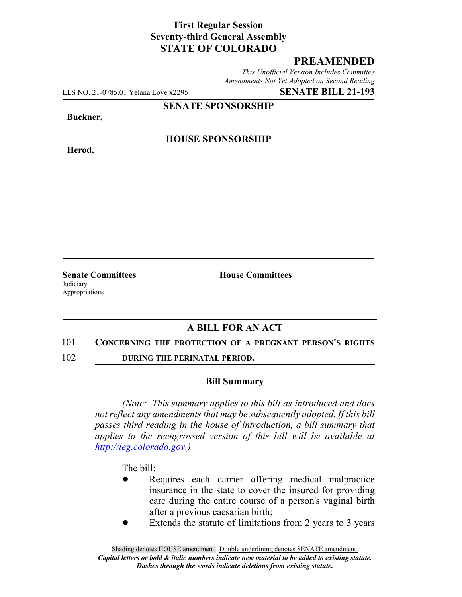## **First Regular Session Seventy-third General Assembly STATE OF COLORADO**

# **PREAMENDED**

*This Unofficial Version Includes Committee Amendments Not Yet Adopted on Second Reading*

LLS NO. 21-0785.01 Yelana Love x2295 **SENATE BILL 21-193**

**SENATE SPONSORSHIP**

**Buckner,**

**Herod,**

**HOUSE SPONSORSHIP**

**Judiciary** Appropriations

**Senate Committees House Committees** 

# **A BILL FOR AN ACT**

#### 101 **CONCERNING THE PROTECTION OF A PREGNANT PERSON'S RIGHTS**

102 **DURING THE PERINATAL PERIOD.**

#### **Bill Summary**

*(Note: This summary applies to this bill as introduced and does not reflect any amendments that may be subsequently adopted. If this bill passes third reading in the house of introduction, a bill summary that applies to the reengrossed version of this bill will be available at http://leg.colorado.gov.)*

The bill:

- Requires each carrier offering medical malpractice insurance in the state to cover the insured for providing care during the entire course of a person's vaginal birth after a previous caesarian birth;
- Extends the statute of limitations from 2 years to 3 years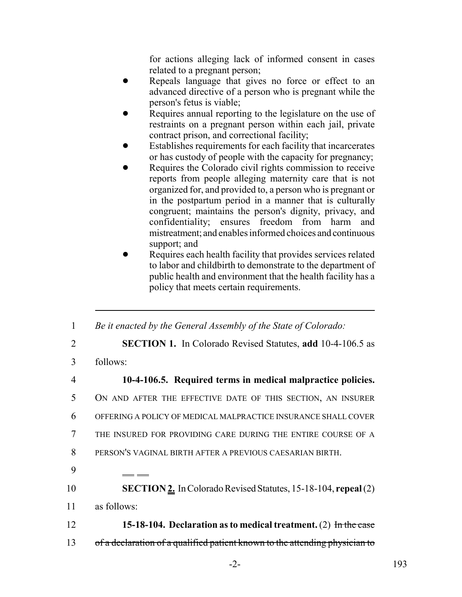for actions alleging lack of informed consent in cases related to a pregnant person;

- Repeals language that gives no force or effect to an advanced directive of a person who is pregnant while the person's fetus is viable;
- Requires annual reporting to the legislature on the use of restraints on a pregnant person within each jail, private contract prison, and correctional facility;
- Establishes requirements for each facility that incarcerates or has custody of people with the capacity for pregnancy;
- Requires the Colorado civil rights commission to receive reports from people alleging maternity care that is not organized for, and provided to, a person who is pregnant or in the postpartum period in a manner that is culturally congruent; maintains the person's dignity, privacy, and confidentiality; ensures freedom from harm and mistreatment; and enables informed choices and continuous support; and
- Requires each health facility that provides services related to labor and childbirth to demonstrate to the department of public health and environment that the health facility has a policy that meets certain requirements.

 *Be it enacted by the General Assembly of the State of Colorado:* **SECTION 1.** In Colorado Revised Statutes, **add** 10-4-106.5 as 3 follows: **10-4-106.5. Required terms in medical malpractice policies.** ON AND AFTER THE EFFECTIVE DATE OF THIS SECTION, AN INSURER OFFERING A POLICY OF MEDICAL MALPRACTICE INSURANCE SHALL COVER THE INSURED FOR PROVIDING CARE DURING THE ENTIRE COURSE OF A PERSON'S VAGINAL BIRTH AFTER A PREVIOUS CAESARIAN BIRTH. 9 **SECTION 2.** In Colorado Revised Statutes, 15-18-104, **repeal** (2) as follows: **15-18-104. Declaration as to medical treatment.** (2) In the case 13 of a declaration of a qualified patient known to the attending physician to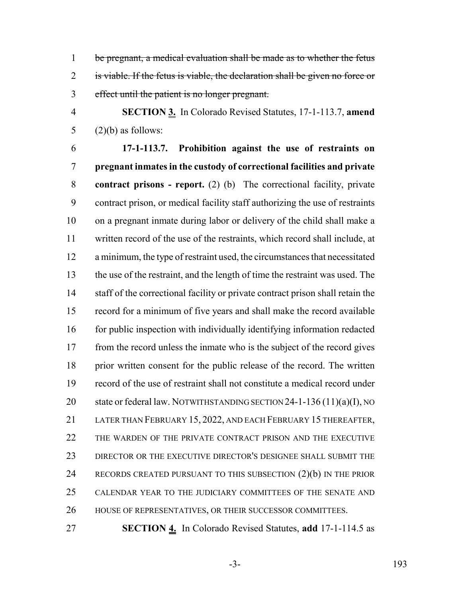be pregnant, a medical evaluation shall be made as to whether the fetus 2 is viable. If the fetus is viable, the declaration shall be given no force or effect until the patient is no longer pregnant.

 **SECTION 3.** In Colorado Revised Statutes, 17-1-113.7, **amend** 5  $(2)(b)$  as follows:

 **17-1-113.7. Prohibition against the use of restraints on pregnant inmates in the custody of correctional facilities and private contract prisons - report.** (2) (b) The correctional facility, private contract prison, or medical facility staff authorizing the use of restraints on a pregnant inmate during labor or delivery of the child shall make a written record of the use of the restraints, which record shall include, at a minimum, the type of restraint used, the circumstances that necessitated the use of the restraint, and the length of time the restraint was used. The 14 staff of the correctional facility or private contract prison shall retain the record for a minimum of five years and shall make the record available 16 for public inspection with individually identifying information redacted 17 from the record unless the inmate who is the subject of the record gives prior written consent for the public release of the record. The written record of the use of restraint shall not constitute a medical record under 20 state or federal law. NOTWITHSTANDING SECTION 24-1-136 (11)(a)(I), NO LATER THAN FEBRUARY 15, 2022, AND EACH FEBRUARY 15 THEREAFTER, THE WARDEN OF THE PRIVATE CONTRACT PRISON AND THE EXECUTIVE DIRECTOR OR THE EXECUTIVE DIRECTOR'S DESIGNEE SHALL SUBMIT THE 24 RECORDS CREATED PURSUANT TO THIS SUBSECTION (2)(b) IN THE PRIOR CALENDAR YEAR TO THE JUDICIARY COMMITTEES OF THE SENATE AND HOUSE OF REPRESENTATIVES, OR THEIR SUCCESSOR COMMITTEES.

**SECTION 4.** In Colorado Revised Statutes, **add** 17-1-114.5 as

-3- 193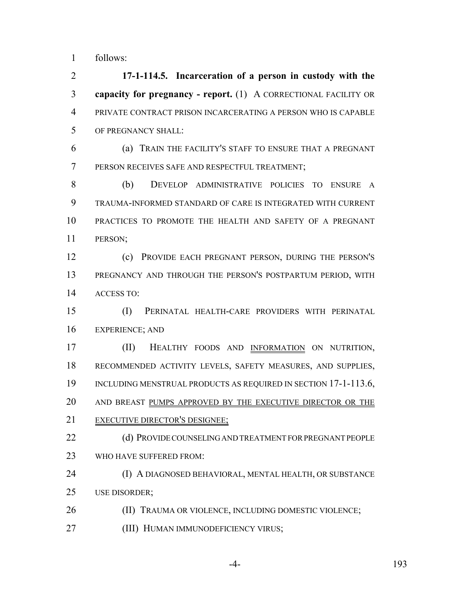follows:

 **17-1-114.5. Incarceration of a person in custody with the capacity for pregnancy - report.** (1) A CORRECTIONAL FACILITY OR PRIVATE CONTRACT PRISON INCARCERATING A PERSON WHO IS CAPABLE OF PREGNANCY SHALL:

 (a) TRAIN THE FACILITY'S STAFF TO ENSURE THAT A PREGNANT PERSON RECEIVES SAFE AND RESPECTFUL TREATMENT;

 (b) DEVELOP ADMINISTRATIVE POLICIES TO ENSURE A TRAUMA-INFORMED STANDARD OF CARE IS INTEGRATED WITH CURRENT PRACTICES TO PROMOTE THE HEALTH AND SAFETY OF A PREGNANT PERSON;

 (c) PROVIDE EACH PREGNANT PERSON, DURING THE PERSON'S PREGNANCY AND THROUGH THE PERSON'S POSTPARTUM PERIOD, WITH ACCESS TO:

 (I) PERINATAL HEALTH-CARE PROVIDERS WITH PERINATAL EXPERIENCE; AND

 (II) HEALTHY FOODS AND INFORMATION ON NUTRITION, RECOMMENDED ACTIVITY LEVELS, SAFETY MEASURES, AND SUPPLIES, 19 INCLUDING MENSTRUAL PRODUCTS AS REQUIRED IN SECTION 17-1-113.6, 20 AND BREAST PUMPS APPROVED BY THE EXECUTIVE DIRECTOR OR THE EXECUTIVE DIRECTOR'S DESIGNEE;

22 (d) PROVIDE COUNSELING AND TREATMENT FOR PREGNANT PEOPLE WHO HAVE SUFFERED FROM:

 (I) A DIAGNOSED BEHAVIORAL, MENTAL HEALTH, OR SUBSTANCE USE DISORDER;

26 (II) TRAUMA OR VIOLENCE, INCLUDING DOMESTIC VIOLENCE;

**(III) HUMAN IMMUNODEFICIENCY VIRUS;** 

-4- 193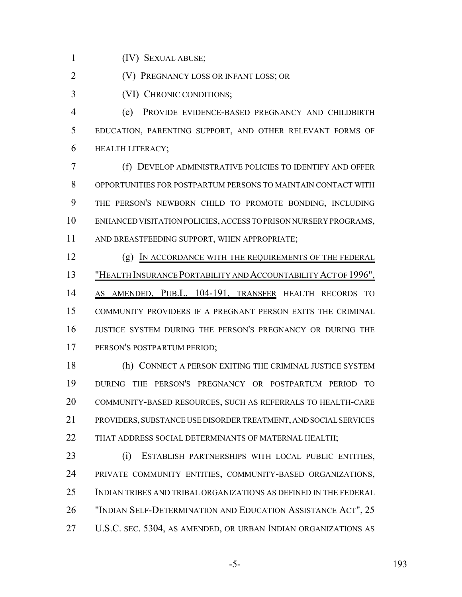(IV) SEXUAL ABUSE;

(V) PREGNANCY LOSS OR INFANT LOSS; OR

(VI) CHRONIC CONDITIONS;

 (e) PROVIDE EVIDENCE-BASED PREGNANCY AND CHILDBIRTH EDUCATION, PARENTING SUPPORT, AND OTHER RELEVANT FORMS OF HEALTH LITERACY;

 (f) DEVELOP ADMINISTRATIVE POLICIES TO IDENTIFY AND OFFER OPPORTUNITIES FOR POSTPARTUM PERSONS TO MAINTAIN CONTACT WITH THE PERSON'S NEWBORN CHILD TO PROMOTE BONDING, INCLUDING ENHANCED VISITATION POLICIES, ACCESS TO PRISON NURSERY PROGRAMS, AND BREASTFEEDING SUPPORT, WHEN APPROPRIATE;

 (g) IN ACCORDANCE WITH THE REQUIREMENTS OF THE FEDERAL "HEALTH INSURANCE PORTABILITY AND ACCOUNTABILITY ACT OF 1996", AS AMENDED, PUB.L. 104-191, TRANSFER HEALTH RECORDS TO COMMUNITY PROVIDERS IF A PREGNANT PERSON EXITS THE CRIMINAL JUSTICE SYSTEM DURING THE PERSON'S PREGNANCY OR DURING THE PERSON'S POSTPARTUM PERIOD;

 (h) CONNECT A PERSON EXITING THE CRIMINAL JUSTICE SYSTEM DURING THE PERSON'S PREGNANCY OR POSTPARTUM PERIOD TO COMMUNITY-BASED RESOURCES, SUCH AS REFERRALS TO HEALTH-CARE PROVIDERS, SUBSTANCE USE DISORDER TREATMENT, AND SOCIAL SERVICES 22 THAT ADDRESS SOCIAL DETERMINANTS OF MATERNAL HEALTH;

 (i) ESTABLISH PARTNERSHIPS WITH LOCAL PUBLIC ENTITIES, PRIVATE COMMUNITY ENTITIES, COMMUNITY-BASED ORGANIZATIONS, INDIAN TRIBES AND TRIBAL ORGANIZATIONS AS DEFINED IN THE FEDERAL "INDIAN SELF-DETERMINATION AND EDUCATION ASSISTANCE ACT", 25 U.S.C. SEC. 5304, AS AMENDED, OR URBAN INDIAN ORGANIZATIONS AS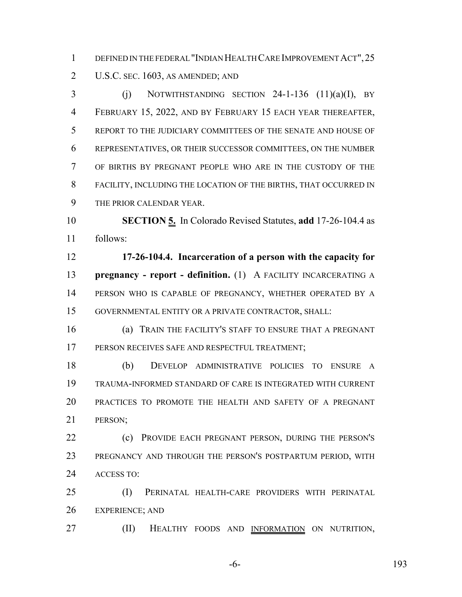DEFINED IN THE FEDERAL "INDIAN HEALTH CARE IMPROVEMENT ACT",25 U.S.C. SEC. 1603, AS AMENDED; AND

 $\overline{3}$  (i) NOTWITHSTANDING SECTION 24-1-136 (11)(a)(I), BY FEBRUARY 15, 2022, AND BY FEBRUARY 15 EACH YEAR THEREAFTER, REPORT TO THE JUDICIARY COMMITTEES OF THE SENATE AND HOUSE OF REPRESENTATIVES, OR THEIR SUCCESSOR COMMITTEES, ON THE NUMBER OF BIRTHS BY PREGNANT PEOPLE WHO ARE IN THE CUSTODY OF THE FACILITY, INCLUDING THE LOCATION OF THE BIRTHS, THAT OCCURRED IN THE PRIOR CALENDAR YEAR.

 **SECTION 5.** In Colorado Revised Statutes, **add** 17-26-104.4 as follows:

 **17-26-104.4. Incarceration of a person with the capacity for pregnancy - report - definition.** (1) A FACILITY INCARCERATING A PERSON WHO IS CAPABLE OF PREGNANCY, WHETHER OPERATED BY A GOVERNMENTAL ENTITY OR A PRIVATE CONTRACTOR, SHALL:

 (a) TRAIN THE FACILITY'S STAFF TO ENSURE THAT A PREGNANT 17 PERSON RECEIVES SAFE AND RESPECTFUL TREATMENT;

 (b) DEVELOP ADMINISTRATIVE POLICIES TO ENSURE A TRAUMA-INFORMED STANDARD OF CARE IS INTEGRATED WITH CURRENT PRACTICES TO PROMOTE THE HEALTH AND SAFETY OF A PREGNANT PERSON;

22 (c) PROVIDE EACH PREGNANT PERSON, DURING THE PERSON'S PREGNANCY AND THROUGH THE PERSON'S POSTPARTUM PERIOD, WITH ACCESS TO:

 (I) PERINATAL HEALTH-CARE PROVIDERS WITH PERINATAL EXPERIENCE; AND

(II) HEALTHY FOODS AND INFORMATION ON NUTRITION,

-6- 193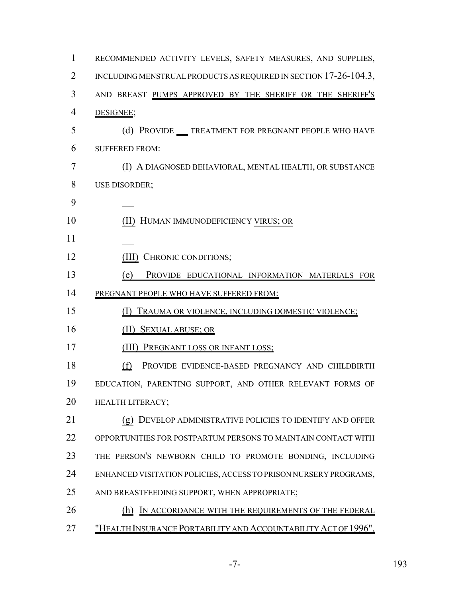| 1  | RECOMMENDED ACTIVITY LEVELS, SAFETY MEASURES, AND SUPPLIES,                                         |
|----|-----------------------------------------------------------------------------------------------------|
| 2  | INCLUDING MENSTRUAL PRODUCTS AS REQUIRED IN SECTION 17-26-104.3,                                    |
| 3  | AND BREAST PUMPS APPROVED BY THE SHERIFF OR THE SHERIFF'S                                           |
| 4  | DESIGNEE;                                                                                           |
| 5  | (d) PROVIDE __ TREATMENT FOR PREGNANT PEOPLE WHO HAVE                                               |
| 6  | <b>SUFFERED FROM:</b>                                                                               |
| 7  | (I) A DIAGNOSED BEHAVIORAL, MENTAL HEALTH, OR SUBSTANCE                                             |
| 8  | USE DISORDER;                                                                                       |
| 9  |                                                                                                     |
| 10 | (II) HUMAN IMMUNODEFICIENCY VIRUS; OR                                                               |
| 11 |                                                                                                     |
| 12 | (III) CHRONIC CONDITIONS;                                                                           |
| 13 | PROVIDE EDUCATIONAL INFORMATION MATERIALS FOR<br>(e)                                                |
| 14 | PREGNANT PEOPLE WHO HAVE SUFFERED FROM:                                                             |
| 15 | TRAUMA OR VIOLENCE, INCLUDING DOMESTIC VIOLENCE;<br>$\left( \begin{array}{c} 1 \end{array} \right)$ |
| 16 | <b>SEXUAL ABUSE; OR</b><br>(11)                                                                     |
| 17 | (III)<br><b>PREGNANT LOSS OR INFANT LOSS;</b>                                                       |
| 18 | (f)<br>PROVIDE EVIDENCE-BASED PREGNANCY AND CHILDBIRTH                                              |
| 19 | EDUCATION, PARENTING SUPPORT, AND OTHER RELEVANT FORMS OF                                           |
| 20 | HEALTH LITERACY;                                                                                    |
| 21 | (g) DEVELOP ADMINISTRATIVE POLICIES TO IDENTIFY AND OFFER                                           |
| 22 | OPPORTUNITIES FOR POSTPARTUM PERSONS TO MAINTAIN CONTACT WITH                                       |
| 23 | THE PERSON'S NEWBORN CHILD TO PROMOTE BONDING, INCLUDING                                            |
| 24 | ENHANCED VISITATION POLICIES, ACCESS TO PRISON NURSERY PROGRAMS,                                    |
| 25 | AND BREASTFEEDING SUPPORT, WHEN APPROPRIATE;                                                        |
| 26 | IN ACCORDANCE WITH THE REQUIREMENTS OF THE FEDERAL<br>(h)                                           |
| 27 | "HEALTH INSURANCE PORTABILITY AND ACCOUNTABILITY ACT OF 1996",                                      |

-7- 193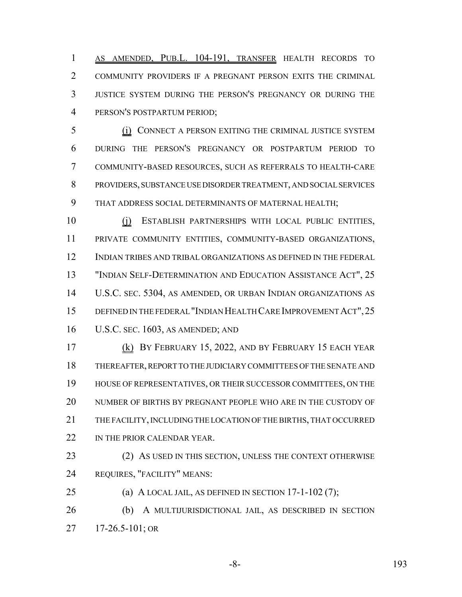AS AMENDED, PUB.L. 104-191, TRANSFER HEALTH RECORDS TO COMMUNITY PROVIDERS IF A PREGNANT PERSON EXITS THE CRIMINAL JUSTICE SYSTEM DURING THE PERSON'S PREGNANCY OR DURING THE PERSON'S POSTPARTUM PERIOD;

 (i) CONNECT A PERSON EXITING THE CRIMINAL JUSTICE SYSTEM DURING THE PERSON'S PREGNANCY OR POSTPARTUM PERIOD TO COMMUNITY-BASED RESOURCES, SUCH AS REFERRALS TO HEALTH-CARE PROVIDERS, SUBSTANCE USE DISORDER TREATMENT, AND SOCIAL SERVICES THAT ADDRESS SOCIAL DETERMINANTS OF MATERNAL HEALTH;

 (j) ESTABLISH PARTNERSHIPS WITH LOCAL PUBLIC ENTITIES, PRIVATE COMMUNITY ENTITIES, COMMUNITY-BASED ORGANIZATIONS, INDIAN TRIBES AND TRIBAL ORGANIZATIONS AS DEFINED IN THE FEDERAL "INDIAN SELF-DETERMINATION AND EDUCATION ASSISTANCE ACT", 25 U.S.C. SEC. 5304, AS AMENDED, OR URBAN INDIAN ORGANIZATIONS AS DEFINED IN THE FEDERAL "INDIAN HEALTH CARE IMPROVEMENT ACT",25 U.S.C. SEC. 1603, AS AMENDED; AND

 (k) BY FEBRUARY 15, 2022, AND BY FEBRUARY 15 EACH YEAR THEREAFTER, REPORT TO THE JUDICIARY COMMITTEES OF THE SENATE AND HOUSE OF REPRESENTATIVES, OR THEIR SUCCESSOR COMMITTEES, ON THE NUMBER OF BIRTHS BY PREGNANT PEOPLE WHO ARE IN THE CUSTODY OF THE FACILITY, INCLUDING THE LOCATION OF THE BIRTHS, THAT OCCURRED 22 IN THE PRIOR CALENDAR YEAR.

23 (2) AS USED IN THIS SECTION, UNLESS THE CONTEXT OTHERWISE REQUIRES, "FACILITY" MEANS:

(a) A LOCAL JAIL, AS DEFINED IN SECTION 17-1-102 (7);

 (b) A MULTIJURISDICTIONAL JAIL, AS DESCRIBED IN SECTION 17-26.5-101; OR

-8- 193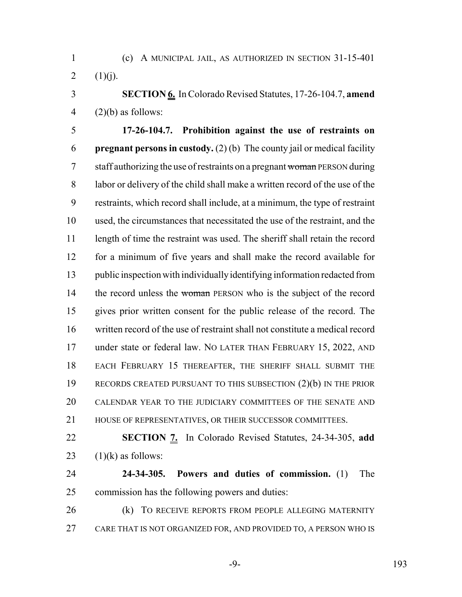(c) A MUNICIPAL JAIL, AS AUTHORIZED IN SECTION 31-15-401 2  $(1)(j)$ .

 **SECTION 6.** In Colorado Revised Statutes, 17-26-104.7, **amend** 4  $(2)(b)$  as follows:

 **17-26-104.7. Prohibition against the use of restraints on pregnant persons in custody.** (2) (b) The county jail or medical facility 7 staff authorizing the use of restraints on a pregnant woman PERSON during labor or delivery of the child shall make a written record of the use of the restraints, which record shall include, at a minimum, the type of restraint used, the circumstances that necessitated the use of the restraint, and the 11 length of time the restraint was used. The sheriff shall retain the record for a minimum of five years and shall make the record available for public inspection with individually identifying information redacted from 14 the record unless the woman PERSON who is the subject of the record gives prior written consent for the public release of the record. The written record of the use of restraint shall not constitute a medical record under state or federal law. NO LATER THAN FEBRUARY 15, 2022, AND EACH FEBRUARY 15 THEREAFTER, THE SHERIFF SHALL SUBMIT THE RECORDS CREATED PURSUANT TO THIS SUBSECTION (2)(b) IN THE PRIOR CALENDAR YEAR TO THE JUDICIARY COMMITTEES OF THE SENATE AND HOUSE OF REPRESENTATIVES, OR THEIR SUCCESSOR COMMITTEES.

 **SECTION 7.** In Colorado Revised Statutes, 24-34-305, **add** 23  $(1)(k)$  as follows:

 **24-34-305. Powers and duties of commission.** (1) The commission has the following powers and duties:

26 (k) TO RECEIVE REPORTS FROM PEOPLE ALLEGING MATERNITY CARE THAT IS NOT ORGANIZED FOR, AND PROVIDED TO, A PERSON WHO IS

-9- 193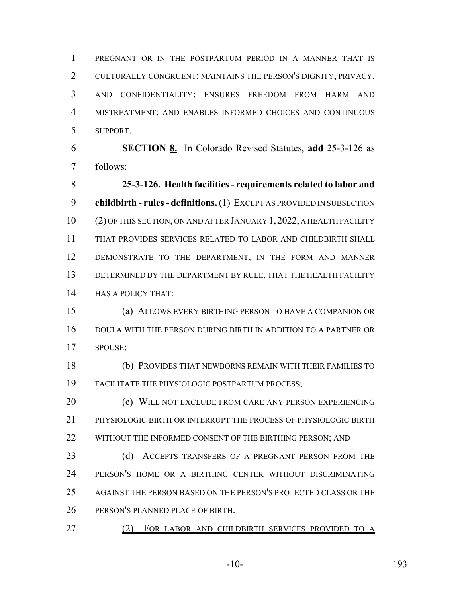PREGNANT OR IN THE POSTPARTUM PERIOD IN A MANNER THAT IS CULTURALLY CONGRUENT; MAINTAINS THE PERSON'S DIGNITY, PRIVACY, AND CONFIDENTIALITY; ENSURES FREEDOM FROM HARM AND MISTREATMENT; AND ENABLES INFORMED CHOICES AND CONTINUOUS SUPPORT.

 **SECTION 8.** In Colorado Revised Statutes, **add** 25-3-126 as follows:

 **25-3-126. Health facilities - requirements related to labor and childbirth - rules - definitions.** (1) EXCEPT AS PROVIDED IN SUBSECTION (2) OF THIS SECTION, ON AND AFTER JANUARY 1, 2022, A HEALTH FACILITY THAT PROVIDES SERVICES RELATED TO LABOR AND CHILDBIRTH SHALL DEMONSTRATE TO THE DEPARTMENT, IN THE FORM AND MANNER DETERMINED BY THE DEPARTMENT BY RULE, THAT THE HEALTH FACILITY HAS A POLICY THAT:

 (a) ALLOWS EVERY BIRTHING PERSON TO HAVE A COMPANION OR DOULA WITH THE PERSON DURING BIRTH IN ADDITION TO A PARTNER OR SPOUSE;

 (b) PROVIDES THAT NEWBORNS REMAIN WITH THEIR FAMILIES TO FACILITATE THE PHYSIOLOGIC POSTPARTUM PROCESS;

**(c) WILL NOT EXCLUDE FROM CARE ANY PERSON EXPERIENCING**  PHYSIOLOGIC BIRTH OR INTERRUPT THE PROCESS OF PHYSIOLOGIC BIRTH 22 WITHOUT THE INFORMED CONSENT OF THE BIRTHING PERSON; AND

23 (d) ACCEPTS TRANSFERS OF A PREGNANT PERSON FROM THE PERSON'S HOME OR A BIRTHING CENTER WITHOUT DISCRIMINATING AGAINST THE PERSON BASED ON THE PERSON'S PROTECTED CLASS OR THE PERSON'S PLANNED PLACE OF BIRTH.

(2) FOR LABOR AND CHILDBIRTH SERVICES PROVIDED TO A

-10- 193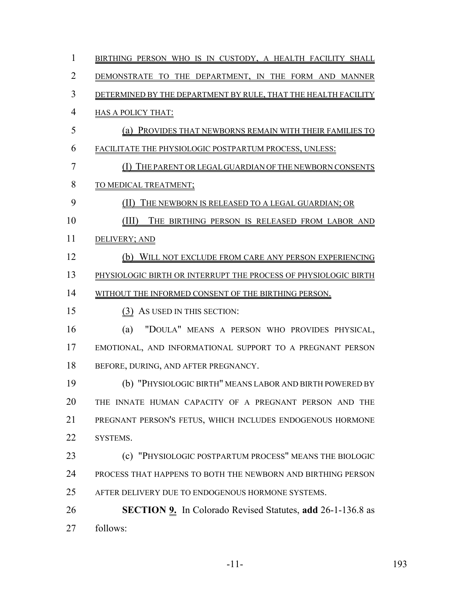| 1              | BIRTHING PERSON WHO IS IN CUSTODY, A HEALTH FACILITY SHALL        |
|----------------|-------------------------------------------------------------------|
| $\overline{2}$ | DEMONSTRATE TO THE DEPARTMENT, IN THE FORM AND MANNER             |
| 3              | DETERMINED BY THE DEPARTMENT BY RULE, THAT THE HEALTH FACILITY    |
| $\overline{4}$ | <b>HAS A POLICY THAT:</b>                                         |
| 5              | (a) PROVIDES THAT NEWBORNS REMAIN WITH THEIR FAMILIES TO          |
| 6              | FACILITATE THE PHYSIOLOGIC POSTPARTUM PROCESS, UNLESS:            |
| $\overline{7}$ | (I) THE PARENT OR LEGAL GUARDIAN OF THE NEWBORN CONSENTS          |
| 8              | TO MEDICAL TREATMENT;                                             |
| 9              | (II)<br>THE NEWBORN IS RELEASED TO A LEGAL GUARDIAN; OR           |
| 10             | (III)<br>THE BIRTHING PERSON IS RELEASED FROM LABOR AND           |
| 11             | DELIVERY; AND                                                     |
| 12             | (b) WILL NOT EXCLUDE FROM CARE ANY PERSON EXPERIENCING            |
| 13             | PHYSIOLOGIC BIRTH OR INTERRUPT THE PROCESS OF PHYSIOLOGIC BIRTH   |
| 14             | WITHOUT THE INFORMED CONSENT OF THE BIRTHING PERSON.              |
| 15             | (3) AS USED IN THIS SECTION:                                      |
| 16             | "DOULA" MEANS A PERSON WHO PROVIDES PHYSICAL,<br>(a)              |
| 17             | EMOTIONAL, AND INFORMATIONAL SUPPORT TO A PREGNANT PERSON         |
| 18             | BEFORE, DURING, AND AFTER PREGNANCY.                              |
| 19             | (b) "PHYSIOLOGIC BIRTH" MEANS LABOR AND BIRTH POWERED BY          |
| 20             | THE INNATE HUMAN CAPACITY OF A PREGNANT PERSON AND THE            |
| 21             | PREGNANT PERSON'S FETUS, WHICH INCLUDES ENDOGENOUS HORMONE        |
| 22             | SYSTEMS.                                                          |
| 23             | (c) "PHYSIOLOGIC POSTPARTUM PROCESS" MEANS THE BIOLOGIC           |
| 24             | PROCESS THAT HAPPENS TO BOTH THE NEWBORN AND BIRTHING PERSON      |
| 25             | AFTER DELIVERY DUE TO ENDOGENOUS HORMONE SYSTEMS.                 |
| 26             | <b>SECTION 9.</b> In Colorado Revised Statutes, add 26-1-136.8 as |
| 27             | follows:                                                          |

-11- 193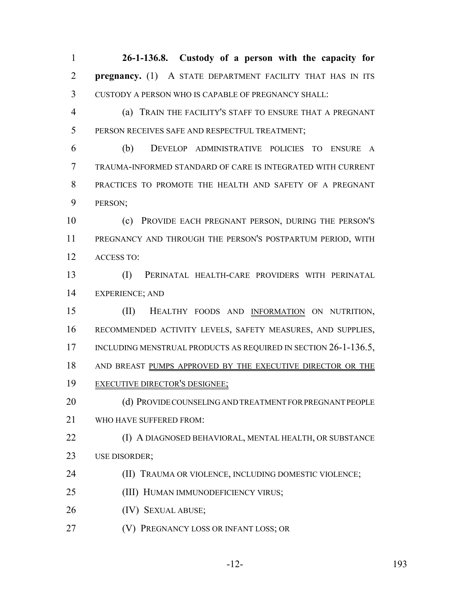**26-1-136.8. Custody of a person with the capacity for pregnancy.** (1) A STATE DEPARTMENT FACILITY THAT HAS IN ITS CUSTODY A PERSON WHO IS CAPABLE OF PREGNANCY SHALL:

 (a) TRAIN THE FACILITY'S STAFF TO ENSURE THAT A PREGNANT 5 PERSON RECEIVES SAFE AND RESPECTFUL TREATMENT;

 (b) DEVELOP ADMINISTRATIVE POLICIES TO ENSURE A TRAUMA-INFORMED STANDARD OF CARE IS INTEGRATED WITH CURRENT PRACTICES TO PROMOTE THE HEALTH AND SAFETY OF A PREGNANT PERSON;

 (c) PROVIDE EACH PREGNANT PERSON, DURING THE PERSON'S PREGNANCY AND THROUGH THE PERSON'S POSTPARTUM PERIOD, WITH ACCESS TO:

 (I) PERINATAL HEALTH-CARE PROVIDERS WITH PERINATAL EXPERIENCE; AND

 (II) HEALTHY FOODS AND INFORMATION ON NUTRITION, RECOMMENDED ACTIVITY LEVELS, SAFETY MEASURES, AND SUPPLIES, 17 INCLUDING MENSTRUAL PRODUCTS AS REQUIRED IN SECTION 26-1-136.5, AND BREAST PUMPS APPROVED BY THE EXECUTIVE DIRECTOR OR THE EXECUTIVE DIRECTOR'S DESIGNEE;

20 (d) PROVIDE COUNSELING AND TREATMENT FOR PREGNANT PEOPLE WHO HAVE SUFFERED FROM:

 (I) A DIAGNOSED BEHAVIORAL, MENTAL HEALTH, OR SUBSTANCE USE DISORDER;

(II) TRAUMA OR VIOLENCE, INCLUDING DOMESTIC VIOLENCE;

(III) HUMAN IMMUNODEFICIENCY VIRUS;

(IV) SEXUAL ABUSE;

(V) PREGNANCY LOSS OR INFANT LOSS; OR

-12- 193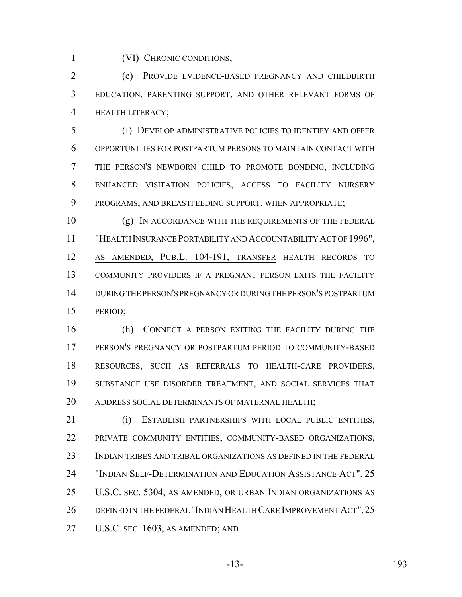(VI) CHRONIC CONDITIONS;

 (e) PROVIDE EVIDENCE-BASED PREGNANCY AND CHILDBIRTH EDUCATION, PARENTING SUPPORT, AND OTHER RELEVANT FORMS OF HEALTH LITERACY;

 (f) DEVELOP ADMINISTRATIVE POLICIES TO IDENTIFY AND OFFER OPPORTUNITIES FOR POSTPARTUM PERSONS TO MAINTAIN CONTACT WITH THE PERSON'S NEWBORN CHILD TO PROMOTE BONDING, INCLUDING ENHANCED VISITATION POLICIES, ACCESS TO FACILITY NURSERY PROGRAMS, AND BREASTFEEDING SUPPORT, WHEN APPROPRIATE;

 (g) IN ACCORDANCE WITH THE REQUIREMENTS OF THE FEDERAL "HEALTH INSURANCE PORTABILITY AND ACCOUNTABILITY ACT OF 1996", AS AMENDED, PUB.L. 104-191, TRANSFER HEALTH RECORDS TO COMMUNITY PROVIDERS IF A PREGNANT PERSON EXITS THE FACILITY DURING THE PERSON'S PREGNANCY OR DURING THE PERSON'S POSTPARTUM PERIOD;

 (h) CONNECT A PERSON EXITING THE FACILITY DURING THE PERSON'S PREGNANCY OR POSTPARTUM PERIOD TO COMMUNITY-BASED RESOURCES, SUCH AS REFERRALS TO HEALTH-CARE PROVIDERS, SUBSTANCE USE DISORDER TREATMENT, AND SOCIAL SERVICES THAT 20 ADDRESS SOCIAL DETERMINANTS OF MATERNAL HEALTH;

 (i) ESTABLISH PARTNERSHIPS WITH LOCAL PUBLIC ENTITIES, PRIVATE COMMUNITY ENTITIES, COMMUNITY-BASED ORGANIZATIONS, INDIAN TRIBES AND TRIBAL ORGANIZATIONS AS DEFINED IN THE FEDERAL "INDIAN SELF-DETERMINATION AND EDUCATION ASSISTANCE ACT", 25 U.S.C. SEC. 5304, AS AMENDED, OR URBAN INDIAN ORGANIZATIONS AS 26 DEFINED IN THE FEDERAL "INDIAN HEALTH CARE IMPROVEMENT ACT", 25 U.S.C. SEC. 1603, AS AMENDED; AND